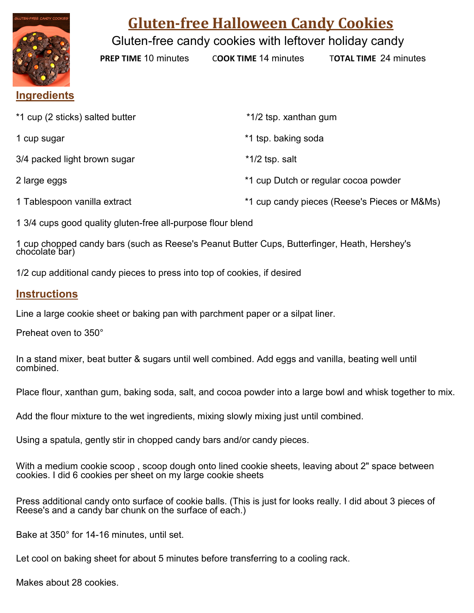

## **Gluten-free Halloween Candy Cookies**

Gluten-free candy cookies with leftover holiday candy

**PREP TIME** 10 minutes C**OOK TIME** 14 minutes T**OTAL TIME** 24 minutes

## **Ingredients**

| *1 cup (2 sticks) salted butter | *1/2 tsp. xanthan gum                        |
|---------------------------------|----------------------------------------------|
| 1 cup sugar                     | *1 tsp. baking soda                          |
| 3/4 packed light brown sugar    | $*1/2$ tsp. salt                             |
| 2 large eggs                    | *1 cup Dutch or regular cocoa powder         |
| 1 Tablespoon vanilla extract    | *1 cup candy pieces (Reese's Pieces or M&Ms) |

1 3/4 cups good quality gluten-free all-purpose flour blend

1 cup chopped candy bars (such as Reese's Peanut Butter Cups, Butterfinger, Heath, Hershey's chocolate bar)

1/2 cup additional candy pieces to press into top of cookies, if desired

## **Instructions**

Line a large cookie sheet or baking pan with parchment paper or a silpat liner.

Preheat oven to 350°

In a stand mixer, beat butter & sugars until well combined. Add eggs and vanilla, beating well until combined.

Place flour, xanthan gum, baking soda, salt, and cocoa powder into a large bowl and whisk together to mix.

Add the flour mixture to the wet ingredients, mixing slowly mixing just until combined.

Using a spatula, gently stir in chopped candy bars and/or candy pieces.

With a medium cookie scoop , scoop dough onto lined cookie sheets, leaving about 2" space between cookies. I did 6 cookies per sheet on my large cookie sheets

Press additional candy onto surface of cookie balls. (This is just for looks really. I did about 3 pieces of Reese's and a candy bar chunk on the surface of each.)

Bake at 350° for 14-16 minutes, until set.

Let cool on baking sheet for about 5 minutes before transferring to a cooling rack.

Makes about 28 cookies.